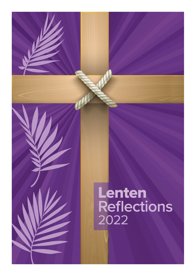# Lenten<br>Reflections 2022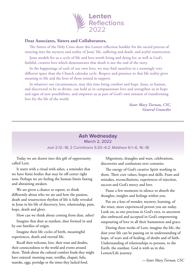

### **Dear Associates, Sisters and Collaborators,**

The Sisters of the Holy Cross share this Lenten reflection booklet for the sacred process of entering into the mystery and reality of Jesus' life, suffering and death, and joyful resurrection.

Jesus models for us a cycle of life and love worth living and dying for, as well as God's faithful, creative love which demonstrates that death is not the end of the story.

In the happenings of each of our own lives, we may find ourselves in a seemingly very different space than the Church calendar cycle. Respect and presence to that life reality gives meaning to life and the lives of those joined in support.

In whatever our circumstances, may this time bring comfort and hope. Jesus, so human, and discovered to be so divine, can hold us in compassionate love and strengthen us in hope and signs of new possibilities, and empower us as part of God's own mission of transforming love for the life of the world.

> *Sister Mary Tiernan, CSC, General Councilor*

# **Ash Wednesday**

#### March 2, 2022

#### Joel 2:12–18; 2 Corinthians 5:20–6:2; Matthew 6:1–6, 16–18

Today we are drawn into this gift of opportunity called Lent.

It starts with a ritual with ashes, a reminder that we have finite bodies that may be off-center right now. Perhaps we are feeling the human limits fasting and abstaining awaken.

We are given a chance to repent, to think differently about who we are and how the passion, death and resurrection rhythm of life is fully revealed in Jesus in his life of discovery, love, relationship, pain, hope, death and glory.

How can we think about coming from dust, ashes? Imagine that dust as stardust, dust formed in and by our families of origin.

Imagine their life cycles of birth, meaningful experiences, death and eternal life.

Recall their welcome, love, their trust and doubts, their connectedness to the world and events around them. Think about the cultural comfort foods they might have enjoyed: morning toast, tortillas, chapati, fufu, matoke, eggs, porridge or the times they lacked food.

Migrations, draughts and wars, celebrations, discoveries and confusions over centuries.

The energy of God's creative Spirit working in them. Their core values, hopes and skills. Fears and mistakes, reconciliations, experiences of rejection, success and God's mercy and love.

Pause a few moments in silence to absorb the thoughts, insights and feelings within you.

Put on a lens of wonder, mystery, learning, of the wiser, more experienced person you are today. Look on, as one precious in God's eyes, to ancestors also embraced and accepted in God's empowering outpouring of love in all their humanness and grace.

During these weeks of Lent, imagine the life, the dust your life can be passing on in understanding of hope, of scars and of healing, of doubt and of faith. Understanding of relationships to persons, to the Earth, the stardust. God is with us in this Lenten/Life journey.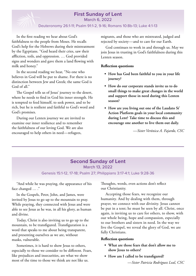# **First Sunday of Lent**

March 6, 2022

#### Deuteronomy 26:1-11; Psalm 91:1-2, 9-16; Romans 10:8b-13; Luke 4:1-13

In the first reading we hear about God's faithfulness to the people from Moses. He recalls God's help for the Hebrews during their mistreatment by the Egyptians. "God heard their cries, saw their affliction, toils, and oppression. … God provided signs and wonders and gave them a land flowing with milk and honey."

In the second reading we hear, "No one who believes in God will be put to shame. For there is no distinction between Jew and Greek; the same God is God of all."

The Gospel tells us of Jesus' journey to the desert, where he needs to find in God his inner strength. He is tempted to feed himself, to seek power, and to be rich, but he is resilient and faithful to God's word and God's promises.

During our Lenten journey we are invited to examine our inner resilience and to remember the faithfulness of our loving God. We are also encouraged to help others in need—refugees,

migrants, and those who are mistreated, judged and rejected by society—and to care for our Earth.

God continues to work in and through us. May we join Jesus in trusting in God's faithfulness during this Lenten season.

#### **Reflection questions**

- **• How has God been faithful to you in your life journey?**
- **• How do our corporate stands invite us to do small things to make great changes in the world and support those in need during this Lenten season?**
- **• How are you living out one of the Laudato Si' Action Platform goals in your local community during Lent? Take time to discuss this and encourage one another to live them out daily.**

*—Sister Verónica A. Fajardo, CSC*

# **Second Sunday of Lent** March 13, 2022 Genesis 15:1-12, 17-18; Psalm 27; Philippians 3:17-4:1; Luke 9:28-36

"And while he was praying, the appearance of his face changed … ."

In the Gospels, Peter, John, and James, were invited by Jesus to go up to the mountain to pray. While praying, they connected with Jesus and were able to see Jesus as he was, in all his glory, as human and divine.

Today, Christ is also inviting us to go up to the mountain, to be transfigured. Transfiguration is a word that speaks to me about being transparent, and presenting ourselves as we are, without masks, vulnerable.

Sometimes, it is hard to show Jesus to others, especially to those we consider to be different. Fears, like prejudices and insecurities, are what we show most of the time to those we think are not like us.

Thoughts, words, even actions don't reflect our Christianity.

Accepting those fears, we recognize our humanity. And by dealing with them, through prayer, we connect with our divinity. Jesus cannot be put in a tent; he must be seen by all. Christ, once again, is inviting us to care for others, to show, with our whole being, hope and compassion, especially to our brothers and sisters in need. In the way we live the Gospel, we reveal the glory of God, we are fully Christians.

#### **Reflection questions**

- **• What are those fears that don't allow me to show Jesus to others?**
- **• How am I called to be transfigured?**

*—Sister Patricia Rodríguez Leal, CSC*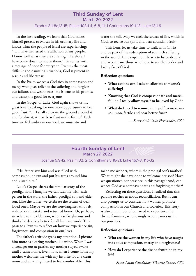# **Third Sunday of Lent**

March 20, 2022

#### Exodus 3:1-8a,13-15; Psalm 103:1-4, 6-8, 11; 1 Corinthians 10:1-13; Luke 13:1-9

In the first reading, we learn that God makes himself present to Moses in his ordinary life and knows what the people of Israel are experiencing: "… I have witnessed the affliction of my people, I know well what they are suffering. Therefore, I have come down to rescue them." He comes with a message of hope for everyone. Even in the most difficult and daunting situations, God is present to rescue and liberate us.

In the Psalm we see a God rich in compassion and mercy who gives relief to the suffering and forgives our failures and weaknesses. He is true to his promise and wants the good for everyone.

In the Gospel of Luke, God again shows us his great love by asking for one more opportunity to bear good fruit. "… I shall cultivate the ground around it and fertilize it; it may bear fruit in the future." Each time we feel aridity in our soul, we must stir and

water the soil. May we seek the source of life, which is God, to revive our spirit and bear abundant fruit.

This Lent, let us take time to walk with Christ and be part of the redemption of so much suffering in the world. Let us open our hearts to listen deeply and accompany those who hope to see the tender and loving face of God.

#### **Reflection questions**

- **• What actions can I take to alleviate someone's suffering?**
- **• Knowing that God is compassionate and merciful, do I really allow myself to be loved by God?**
- **• What do I need to remove in myself to make my soil more fertile and bear better fruit?**

*—Sister Areli Cruz Hernández, CSC*

# **Fourth Sunday of Lent**

March 27, 2022

#### Joshua 5:9-12; Psalm 32; 2 Corinthians 5:16-21; Luke 15:1-3, 11b-32

"His father saw him and was filled with compassion; he ran and put his arms around him and kissed him."

Luke's Gospel shares the familiar story of the prodigal son. I imagine we can identify with each person in the story, the father, prodigal son and elder son. Like the father, we celebrate the return of dear loved ones. Maybe we are the son/daughter who left, realized our mistake and returned home. Or, perhaps, we relate to the elder son, who is self-righteous and thinks he deserves better for all his hard work. This passage allows us to reflect on how we experience sin, forgiveness and compassion in our lives.

The father's attitude grabs my attention. I picture him more as a caring mother, like mine. When I was a teenager out at parties, my mother stayed awake until I came home. Even now, when I come home my mother welcomes me with my favorite food, a clean room and anything I need to feel comfortable. This

made me wonder, where is the prodigal son's mother? What might she have done to welcome her son? Have we questioned her presence in this passage? And, can we see God as a compassionate and forgiving mother?

Reflecting on these questions, I realized that this parable teaches us about reconciliation. But it can also prompt us to consider how women promote compassion in our Church and societies. This story is also a reminder of our need to experience the divine feminine, who lovingly accompanies us in our journeys.

#### **Reflection questions**

- **• Who are the women in my life who have taught me about compassion, mercy and forgiveness?**
- **• How do I experience the divine feminine in my life?**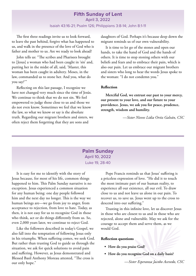# **Fifth Sunday of Lent**

April 3, 2022

#### Isaiah 43:16-21; Psalm 126; Philippians 3:8-14; John 8:1-11

The first three readings invite us to look forward, to leave the past behind, forgive what has happened to us, and walk in the presence of the love of God who is father and mother to us. Are we ready to look ahead?

John tells us: "The scribes and Pharisees brought to [Jesus] a woman who had been caught in 'sin' and, putting her in the midst of all, said, 'Master, this woman has been caught in adultery. Moses, in the law, commanded us to stone her. And you, what do you say?'"

Reflecting on this last passage, I recognize we have not changed very much since the time of Jesús. We continue to think that we do not sin. We feel empowered to judge those close to us and those we do not even know. Sometimes we feel that we know the law, so what we know or say is the absolute truth. Regarding our migrant brothers and sisters, we often reject them forgetting that they are sons and

daughters of God. Perhaps it's because deep down the migrant reminds us of our own vulnerability.

It is time to let go of the stones and open our hands, to take the hand of God and the hands of others. It is time to stop stoning others with our beliefs and fears and to embrace their pain, which is also our pain. Let us embrace our migrant brothers and sisters who long to hear the words Jesus spoke to the woman: "I do not condemn you."

#### **Reflection**

**Merciful God, we entrust our past to your mercy, our present to your love, and our future to your providence. Jesus, we ask you for peace, prudence, strength, wisdom and humility.**

*—Sister Nieves Lidia Ortiz Galván, CSC*

# **Palm Sunday** April 10, 2022 Luke 19, 28-40

It is easy for me to identify with the story of Jesus because, for most of his life, common things happened to him. This Palm Sunday narrative is no exception. Jesus experienced a common situation for any human being: one day people followed him and the next day no longer. This is the way we human beings are—we go from joy to anger, from acceptance to rejection, from love to hate. Today, as then, it is not easy for us to recognize God in those who think, act or do things differently from us. So, even 2,000 years later, we continue to reject God.

Like the followers described in today's Gospel, we also fall into the temptation of following Jesus only in his triumphs. When suffering comes, we seek God. But rather than trusting God to guide us through the situation, we ask for quick solutions to avoid pain and suffering. However, as Jesus demonstrated and Blessed Basil Anthony Moreau attested, "The cross is our only hope."

Pope Francis reminds us that Jesus' suffering is a priceless expression of love. "He did it to touch the most intimate part of our human reality, to experience all our existence, all our evil. To draw close to us and not leave us alone in our pain. To recover us, to save us. Jesus went up to the cross to descend into our suffering."

Trusting in this infinite love, let us discover Jesus in those who are closest to us and in those who are rejected, alone and vulnerable. May we ask for the courage to accept them and serve them, as we would God.

#### **Reflection questions**

- **• How do you praise God?**
- **• How do you recognize God on a daily basis?**

*—Sister Esperanza Jacobo Acevedo, CSC*